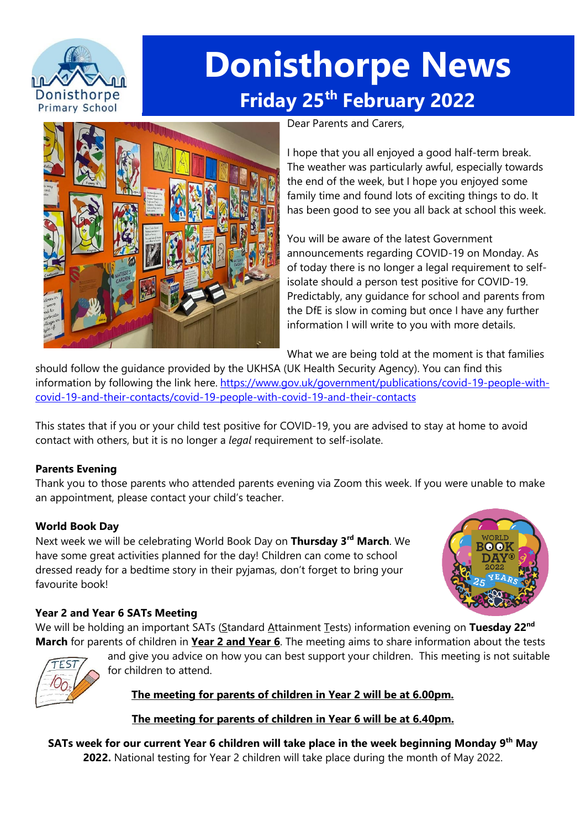

# **Donisthorpe News Friday 25th February 2022**



Dear Parents and Carers,

I hope that you all enjoyed a good half-term break. The weather was particularly awful, especially towards the end of the week, but I hope you enjoyed some family time and found lots of exciting things to do. It has been good to see you all back at school this week.

You will be aware of the latest Government announcements regarding COVID-19 on Monday. As of today there is no longer a legal requirement to selfisolate should a person test positive for COVID-19. Predictably, any guidance for school and parents from the DfE is slow in coming but once I have any further information I will write to you with more details.

What we are being told at the moment is that families

should follow the guidance provided by the UKHSA (UK Health Security Agency). You can find this information by following the link here. [https://www.gov.uk/government/publications/covid-19-people-with](https://www.gov.uk/government/publications/covid-19-people-with-covid-19-and-their-contacts/covid-19-people-with-covid-19-and-their-contacts)[covid-19-and-their-contacts/covid-19-people-with-covid-19-and-their-contacts](https://www.gov.uk/government/publications/covid-19-people-with-covid-19-and-their-contacts/covid-19-people-with-covid-19-and-their-contacts)

This states that if you or your child test positive for COVID-19, you are advised to stay at home to avoid contact with others, but it is no longer a *legal* requirement to self-isolate.

### **Parents Evening**

Thank you to those parents who attended parents evening via Zoom this week. If you were unable to make an appointment, please contact your child's teacher.

## **World Book Day**

Next week we will be celebrating World Book Day on **Thursday 3rd March**. We have some great activities planned for the day! Children can come to school dressed ready for a bedtime story in their pyjamas, don't forget to bring your favourite book!



### **Year 2 and Year 6 SATs Meeting**

We will be holding an important SATs (Standard Attainment Tests) information evening on Tuesday 22<sup>nd</sup> **March** for parents of children in **Year 2 and Year 6**. The meeting aims to share information about the tests



and give you advice on how you can best support your children. This meeting is not suitable for children to attend.

## **The meeting for parents of children in Year 2 will be at 6.00pm.**

**The meeting for parents of children in Year 6 will be at 6.40pm.**

**SATs week for our current Year 6 children will take place in the week beginning Monday 9 th May 2022.** National testing for Year 2 children will take place during the month of May 2022.